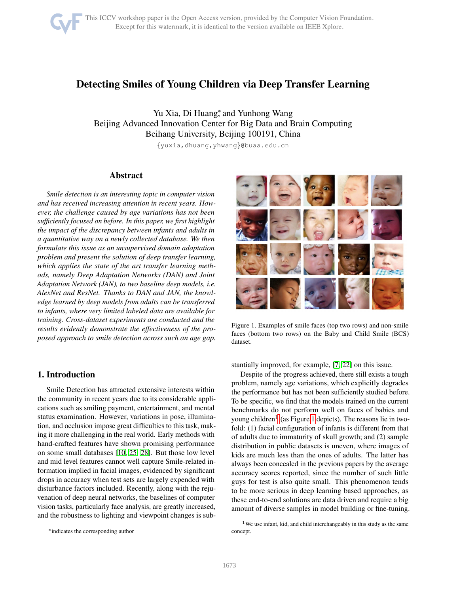

# Detecting Smiles of Young Children via Deep Transfer Learning

Yu Xia, Di Huang<sup>\*</sup>, and Yunhong Wang Beijing Advanced Innovation Center for Big Data and Brain Computing Beihang University, Beijing 100191, China {yuxia,dhuang,yhwang}@buaa.edu.cn

# Abstract

*Smile detection is an interesting topic in computer vision and has received increasing attention in recent years. However, the challenge caused by age variations has not been sufficiently focused on before. In this paper, we first highlight the impact of the discrepancy between infants and adults in a quantitative way on a newly collected database. We then formulate this issue as an unsupervised domain adaptation problem and present the solution of deep transfer learning, which applies the state of the art transfer learning methods, namely Deep Adaptation Networks (DAN) and Joint Adaptation Network (JAN), to two baseline deep models, i.e. AlexNet and ResNet. Thanks to DAN and JAN, the knowledge learned by deep models from adults can be transferred to infants, where very limited labeled data are available for training. Cross-dataset experiments are conducted and the results evidently demonstrate the effectiveness of the proposed approach to smile detection across such an age gap.*

# 1. Introduction

Smile Detection has attracted extensive interests within the community in recent years due to its considerable applications such as smiling payment, entertainment, and mental status examination. However, variations in pose, illumination, and occlusion impose great difficulties to this task, making it more challenging in the real world. Early methods with hand-crafted features have shown promising performance on some small databases [\[10,](#page-7-0) [25,](#page-8-0) [28\]](#page-8-1). But those low level and mid level features cannot well capture Smile-related information implied in facial images, evidenced by significant drops in accuracy when test sets are largely expended with disturbance factors included. Recently, along with the rejuvenation of deep neural networks, the baselines of computer vision tasks, particularly face analysis, are greatly increased, and the robustness to lighting and viewpoint changes is sub-



Figure 1. Examples of smile faces (top two rows) and non-smile faces (bottom two rows) on the Baby and Child Smile (BCS) dataset.

<span id="page-0-1"></span>stantially improved, for example, [\[7,](#page-7-1) [22\]](#page-8-2) on this issue.

Despite of the progress achieved, there still exists a tough problem, namely age variations, which explicitly degrades the performance but has not been sufficiently studied before. To be specific, we find that the models trained on the current benchmarks do not perform well on faces of babies and young children<sup>[1](#page-0-0)</sup> (as Figure [1](#page-0-1) depicts). The reasons lie in twofold: (1) facial configuration of infants is different from that of adults due to immaturity of skull growth; and (2) sample distribution in public datasets is uneven, where images of kids are much less than the ones of adults. The latter has always been concealed in the previous papers by the average accuracy scores reported, since the number of such little guys for test is also quite small. This phenomenon tends to be more serious in deep learning based approaches, as these end-to-end solutions are data driven and require a big amount of diverse samples in model building or fine-tuning.

<sup>∗</sup>indicates the corresponding author

<span id="page-0-0"></span><sup>&</sup>lt;sup>1</sup>We use infant, kid, and child interchangeably in this study as the same concept.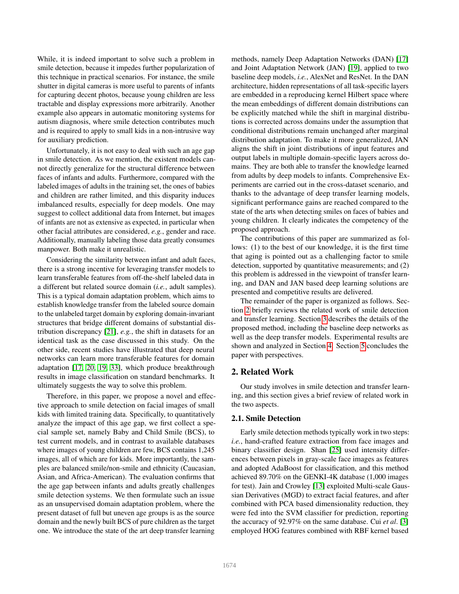While, it is indeed important to solve such a problem in smile detection, because it impedes further popularization of this technique in practical scenarios. For instance, the smile shutter in digital cameras is more useful to parents of infants for capturing decent photos, because young children are less tractable and display expressions more arbitrarily. Another example also appears in automatic monitoring systems for autism diagnosis, where smile detection contributes much and is required to apply to small kids in a non-intrusive way for auxiliary prediction.

Unfortunately, it is not easy to deal with such an age gap in smile detection. As we mention, the existent models cannot directly generalize for the structural difference between faces of infants and adults. Furthermore, compared with the labeled images of adults in the training set, the ones of babies and children are rather limited, and this disparity induces imbalanced results, especially for deep models. One may suggest to collect additional data from Internet, but images of infants are not as extensive as expected, in particular when other facial attributes are considered, *e.g.*, gender and race. Additionally, manually labeling those data greatly consumes manpower. Both make it unrealistic.

Considering the similarity between infant and adult faces, there is a strong incentive for leveraging transfer models to learn transferable features from off-the-shelf labeled data in a different but related source domain (*i.e.*, adult samples). This is a typical domain adaptation problem, which aims to establish knowledge transfer from the labeled source domain to the unlabeled target domain by exploring domain-invariant structures that bridge different domains of substantial distribution discrepancy [\[21\]](#page-8-3), *e.g.*, the shift in datasets for an identical task as the case discussed in this study. On the other side, recent studies have illustrated that deep neural networks can learn more transferable features for domain adaptation [\[17,](#page-7-2) [20,](#page-8-4) [19,](#page-8-5) [33\]](#page-8-6), which produce breakthrough results in image classification on standard benchmarks. It ultimately suggests the way to solve this problem.

Therefore, in this paper, we propose a novel and effective approach to smile detection on facial images of small kids with limited training data. Specifically, to quantitatively analyze the impact of this age gap, we first collect a special sample set, namely Baby and Child Smile (BCS), to test current models, and in contrast to available databases where images of young children are few, BCS contains 1,245 images, all of which are for kids. More importantly, the samples are balanced smile/non-smile and ethnicity (Caucasian, Asian, and Africa-American). The evaluation confirms that the age gap between infants and adults greatly challenges smile detection systems. We then formulate such an issue as an unsupervised domain adaptation problem, where the present dataset of full but uneven age groups is as the source domain and the newly built BCS of pure children as the target one. We introduce the state of the art deep transfer learning

methods, namely Deep Adaptation Networks (DAN) [\[17\]](#page-7-2) and Joint Adaptation Network (JAN) [\[19\]](#page-8-5), applied to two baseline deep models, *i.e.*, AlexNet and ResNet. In the DAN architecture, hidden representations of all task-specific layers are embedded in a reproducing kernel Hilbert space where the mean embeddings of different domain distributions can be explicitly matched while the shift in marginal distributions is corrected across domains under the assumption that conditional distributions remain unchanged after marginal distribution adaptation. To make it more generalized, JAN aligns the shift in joint distributions of input features and output labels in multiple domain-specific layers across domains. They are both able to transfer the knowledge learned from adults by deep models to infants. Comprehensive Experiments are carried out in the cross-dataset scenario, and thanks to the advantage of deep transfer learning models, significant performance gains are reached compared to the state of the arts when detecting smiles on faces of babies and young children. It clearly indicates the competency of the proposed approach.

The contributions of this paper are summarized as follows: (1) to the best of our knowledge, it is the first time that aging is pointed out as a challenging factor to smile detection, supported by quantitative measurements; and (2) this problem is addressed in the viewpoint of transfer learning, and DAN and JAN based deep learning solutions are presented and competitive results are delivered.

The remainder of the paper is organized as follows. Section [2](#page-1-0) briefly reviews the related work of smile detection and transfer learning. Section [3](#page-2-0) describes the details of the proposed method, including the baseline deep networks as well as the deep transfer models. Experimental results are shown and analyzed in Section [4.](#page-5-0) Section [5](#page-7-3) concludes the paper with perspectives.

# <span id="page-1-0"></span>2. Related Work

Our study involves in smile detection and transfer learning, and this section gives a brief review of related work in the two aspects.

#### 2.1. Smile Detection

Early smile detection methods typically work in two steps: *i.e.*, hand-crafted feature extraction from face images and binary classifier design. Shan [\[25\]](#page-8-0) used intensity differences between pixels in gray-scale face images as features and adopted AdaBoost for classification, and this method achieved 89.70% on the GENKI-4K database (1,000 images for test). Jain and Crowley [\[13\]](#page-7-4) exploited Multi-scale Gaussian Derivatives (MGD) to extract facial features, and after combined with PCA based dimensionality reduction, they were fed into the SVM classifier for prediction, reporting the accuracy of 92.97% on the same database. Cui *et al*. [\[3\]](#page-7-5) employed HOG features combined with RBF kernel based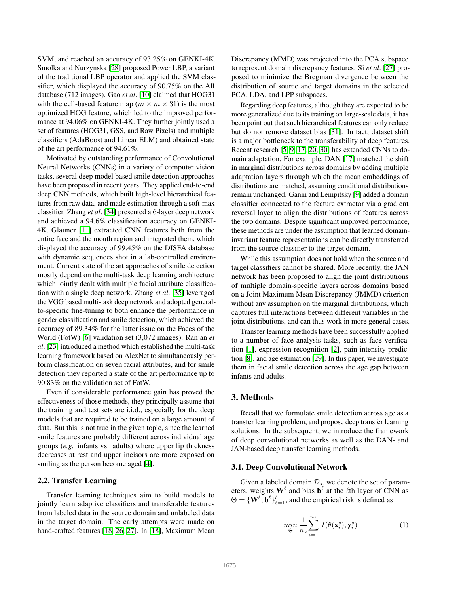SVM, and reached an accuracy of 93.25% on GENKI-4K. Smolka and Nurzynska [\[28\]](#page-8-1) proposed Power LBP, a variant of the traditional LBP operator and applied the SVM classifier, which displayed the accuracy of 90.75% on the All database (712 images). Gao *et al*. [\[10\]](#page-7-0) claimed that HOG31 with the cell-based feature map ( $m \times m \times 31$ ) is the most optimized HOG feature, which led to the improved performance at 94.06% on GENKI-4K. They further jointly used a set of features (HOG31, GSS, and Raw Pixels) and multiple classifiers (AdaBoost and Linear ELM) and obtained state of the art performance of 94.61%.

Motivated by outstanding performance of Convolutional Neural Networks (CNNs) in a variety of computer vision tasks, several deep model based smile detection approaches have been proposed in recent years. They applied end-to-end deep CNN methods, which built high-level hierarchical features from raw data, and made estimation through a soft-max classifier. Zhang *et al*. [\[34\]](#page-8-7) presented a 6-layer deep network and achieved a 94.6% classification accuracy on GENKI-4K. Glauner [\[11\]](#page-7-6) extracted CNN features both from the entire face and the mouth region and integrated them, which displayed the accuracy of 99.45% on the DISFA database with dynamic sequences shot in a lab-controlled environment. Current state of the art approaches of smile detection mostly depend on the multi-task deep learning architecture which jointly dealt with multiple facial attribute classification with a single deep network. Zhang *et al*. [\[35\]](#page-8-8) leveraged the VGG based multi-task deep network and adopted generalto-specific fine-tuning to both enhance the performance in gender classification and smile detection, which achieved the accuracy of 89.34% for the latter issue on the Faces of the World (FotW) [\[6\]](#page-7-7) validation set (3,072 images). Ranjan *et al*. [\[23\]](#page-8-9) introduced a method which established the multi-task learning framework based on AlexNet to simultaneously perform classification on seven facial attributes, and for smile detection they reported a state of the art performance up to 90.83% on the validation set of FotW.

Even if considerable performance gain has proved the effectiveness of those methods, they principally assume that the training and test sets are i.i.d., especially for the deep models that are required to be trained on a large amount of data. But this is not true in the given topic, since the learned smile features are probably different across individual age groups (*e.g.* infants vs. adults) where upper lip thickness decreases at rest and upper incisors are more exposed on smiling as the person become aged [\[4\]](#page-7-8).

#### 2.2. Transfer Learning

Transfer learning techniques aim to build models to jointly learn adaptive classifiers and transferable features from labeled data in the source domain and unlabeled data in the target domain. The early attempts were made on hand-crafted features [\[18,](#page-7-9) [26,](#page-8-10) [27\]](#page-8-11). In [\[18\]](#page-7-9), Maximum Mean

Discrepancy (MMD) was projected into the PCA subspace to represent domain discrepancy features. Si *et al*. [\[27\]](#page-8-11) proposed to minimize the Bregman divergence between the distribution of source and target domains in the selected PCA, LDA, and LPP subspaces.

Regarding deep features, although they are expected to be more generalized due to its training on large-scale data, it has been point out that such hierarchical features can only reduce but do not remove dataset bias [\[31\]](#page-8-12). In fact, dataset shift is a major bottleneck to the transferability of deep features. Recent research [\[5,](#page-7-10) [9,](#page-7-11) [17,](#page-7-2) [20,](#page-8-4) [30\]](#page-8-13) has extended CNNs to domain adaptation. For example, DAN [\[17\]](#page-7-2) matched the shift in marginal distributions across domains by adding multiple adaptation layers through which the mean embeddings of distributions are matched, assuming conditional distributions remain unchanged. Ganin and Lempitsky [\[9\]](#page-7-11) added a domain classifier connected to the feature extractor via a gradient reversal layer to align the distributions of features across the two domains. Despite significant improved performance, these methods are under the assumption that learned domaininvariant feature representations can be directly transferred from the source classifier to the target domain.

While this assumption does not hold when the source and target classifiers cannot be shared. More recently, the JAN network has been proposed to align the joint distributions of multiple domain-specific layers across domains based on a Joint Maximum Mean Discrepancy (JMMD) criterion without any assumption on the marginal distributions, which captures full interactions between different variables in the joint distributions, and can thus work in more general cases.

Transfer learning methods have been successfully applied to a number of face analysis tasks, such as face verification [\[1\]](#page-7-12), expression recognition [\[2\]](#page-7-13), pain intensity prediction [\[8\]](#page-7-14), and age estimation [\[29\]](#page-8-14). In this paper, we investigate them in facial smile detection across the age gap between infants and adults.

## <span id="page-2-0"></span>3. Methods

Recall that we formulate smile detection across age as a transfer learning problem, and propose deep transfer learning solutions. In the subsequent, we introduce the framework of deep convolutional networks as well as the DAN- and JAN-based deep transfer learning methods.

#### 3.1. Deep Convolutional Network

Given a labeled domain  $\mathcal{D}_s$ , we denote the set of parameters, weights  $\mathbf{W}^{\ell}$  and bias  $\mathbf{b}^{\ell}$  at the  $\ell$ th layer of CNN as  $\Theta = \{ \mathbf{W}^{\ell}, \mathbf{b}^{\ell} \}_{\ell=1}^{l}$ , and the empirical risk is defined as

<span id="page-2-1"></span>
$$
\min_{\Theta} \frac{1}{n_s} \sum_{i=1}^{n_s} J(\theta(\mathbf{x}_i^s), \mathbf{y}_i^s)
$$
 (1)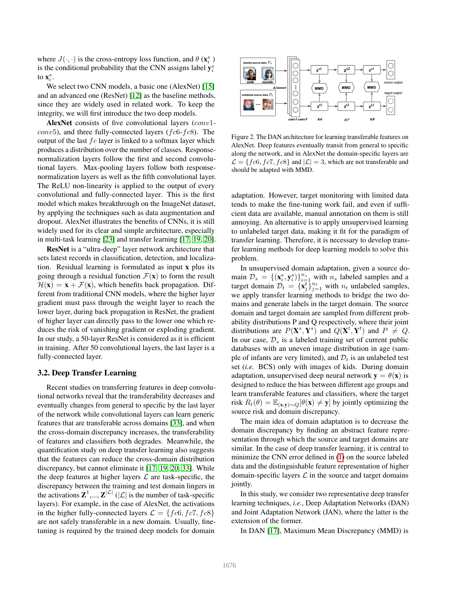where  $J(\cdot, \cdot)$  is the cross-entropy loss function, and  $\theta$  ( $\mathbf{x}_i^s$ ) is the conditional probability that the CNN assigns label  $y_i^s$ to  $\mathbf{x}_i^s$ .

We select two CNN models, a basic one (AlexNet) [\[15\]](#page-7-15) and an advanced one (ResNet) [\[12\]](#page-7-16) as the baseline methods, since they are widely used in related work. To keep the integrity, we will first introduce the two deep models.

AlexNet consists of five convolutional layers (conv1*conv*5), and three fully-connected layers ( $fc6-fc8$ ). The output of the last  $fc$  layer is linked to a softmax layer which produces a distribution over the number of classes. Responsenormalization layers follow the first and second convolutional layers. Max-pooling layers follow both responsenormalization layers as well as the fifth convolutional layer. The ReLU non-linearity is applied to the output of every convolutional and fully-connected layer. This is the first model which makes breakthrough on the ImageNet dataset, by applying the techniques such as data augmentation and dropout. AlexNet illustrates the benefits of CNNs, it is still widely used for its clear and simple architecture, especially in multi-task learning [\[23\]](#page-8-9) and transfer learning [\[17,](#page-7-2) [19,](#page-8-5) [20\]](#page-8-4).

ResNet is a "ultra-deep" layer network architecture that sets latest records in classification, detection, and localization. Residual learning is formulated as input x plus its going through a residual function  $\mathcal{F}(\mathbf{x})$  to form the result  $\mathcal{H}(\mathbf{x}) = \mathbf{x} + \mathcal{F}(\mathbf{x})$ , which benefits back propagation. Different from traditional CNN models, where the higher layer gradient must pass through the weight layer to reach the lower layer, during back propagation in ResNet, the gradient of higher layer can directly pass to the lower one which reduces the risk of vanishing gradient or exploding gradient. In our study, a 50-layer ResNet is considered as it is efficient in training. After 50 convolutional layers, the last layer is a fully-connected layer.

## 3.2. Deep Transfer Learning

Recent studies on transferring features in deep convolutional networks reveal that the transferability decreases and eventually changes from general to specific by the last layer of the network while convolutional layers can learn generic features that are transferable across domains [\[33\]](#page-8-6), and when the cross-domain discrepancy increases, the transferability of features and classifiers both degrades. Meanwhile, the quantification study on deep transfer learning also suggests that the features can reduce the cross-domain distribution discrepancy, but cannot eliminate it [\[17,](#page-7-2) [19,](#page-8-5) [20,](#page-8-4) [33\]](#page-8-6). While the deep features at higher layers  $\mathcal L$  are task-specific, the discrepancy between the training and test domain lingers in the activations  $\mathbf{Z}^1, ..., \mathbf{Z}^{|\mathcal{L}|}$  ( $|\mathcal{L}|$  is the number of task-specific layers). For example, in the case of AlexNet, the activations in the higher fully-connected layers  $\mathcal{L} = \{ f c6, f c7, f c8 \}$ are not safely transferable in a new domain. Usually, finetuning is required by the trained deep models for domain



<span id="page-3-0"></span>Figure 2. The DAN architecture for learning transferable features on AlexNet. Deep features eventually transit from general to specific along the network, and in AlexNet the domain-specific layers are  $\mathcal{L} = \{ f \in \mathcal{C}$ ,  $f \in \mathcal{C}$ ,  $f \in \mathcal{C}$  and  $|\mathcal{L}| = 3$ , which are not transferable and should be adapted with MMD.

adaptation. However, target monitoring with limited data tends to make the fine-tuning work fail, and even if sufficient data are available, manual annotation on them is still annoying. An alternative is to apply unsupervised learning to unlabeled target data, making it fit for the paradigm of transfer learning. Therefore, it is necessary to develop transfer learning methods for deep learning models to solve this problem.

In unsupervised domain adaptation, given a source domain  $\mathcal{D}_s = \{(\mathbf{x}_i^s, \mathbf{y}_i^s)\}_{i=1}^{n_s}$  with  $n_s$  labeled samples and a target domain  $\mathcal{D}_t = {\mathbf{x}_j^t}_{j=1}^{n_t}$  with  $n_t$  unlabeled samples, we apply transfer learning methods to bridge the two domains and generate labels in the target domain. The source domain and target domain are sampled from different probability distributions P and Q respectively, where their joint distributions are  $P(\mathbf{X}^s, \mathbf{Y}^s)$  and  $Q(\mathbf{X}^t, \mathbf{Y}^t)$  and  $P \neq Q$ . In our case,  $\mathcal{D}_s$  is a labeled training set of current public databases with an uneven image distribution in age (sample of infants are very limited), and  $\mathcal{D}_t$  is an unlabeled test set (*i.e.* BCS) only with images of kids. During domain adaptation, unsupervised deep neural network  $y = \theta(x)$  is designed to reduce the bias between different age groups and learn transferable features and classifiers, where the target risk  $R_t(\theta) = \mathbb{E}_{(\mathbf{x}, \mathbf{y}) \sim Q}[\theta(\mathbf{x}) \neq \mathbf{y}]$  by jointly optimizing the source risk and domain discrepancy.

The main idea of domain adaptation is to decrease the domain discrepancy by finding an abstract feature representation through which the source and target domains are similar. In the case of deep transfer learning, it is central to minimize the CNN error defined in [\(1\)](#page-2-1) on the source labeled data and the distinguishable feature representation of higher domain-specific layers  $\mathcal L$  in the source and target domains jointly.

In this study, we consider two representative deep transfer learning techniques, *i.e.*, Deep Adaptation Networks (DAN) and Joint Adaptation Network (JAN), where the latter is the extension of the former.

In DAN [\[17\]](#page-7-2), Maximum Mean Discrepancy (MMD) is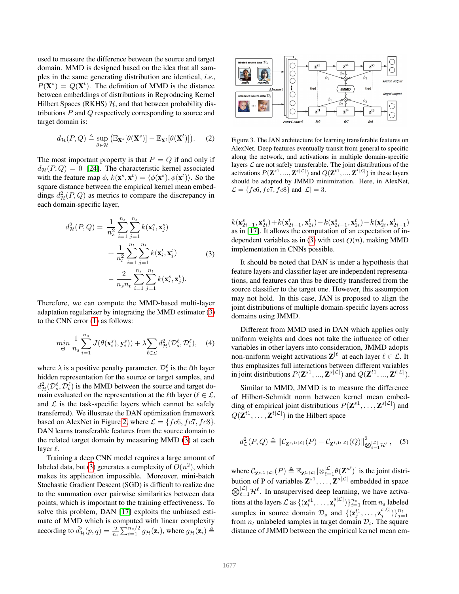used to measure the difference between the source and target domain. MMD is designed based on the idea that all samples in the same generating distribution are identical, *i.e.*,  $P(X^s) = Q(X^t)$ . The definition of MMD is the distance between embeddings of distributions in Reproducing Kernel Hilbert Spaces (RKHS)  $H$ , and that between probability distributions P and Q respectively corresponding to source and target domain is:

$$
d_{\mathcal{H}}(P,Q) \triangleq \sup_{\theta \in \mathcal{H}} (\mathbb{E}_{\mathbf{X}^s}[\theta(\mathbf{X}^s)] - \mathbb{E}_{\mathbf{X}^t}[\theta(\mathbf{X}^t)]). \quad (2)
$$

The most important property is that  $P = Q$  if and only if  $d_{\mathcal{H}}(P,Q) = 0$  [\[24\]](#page-8-15). The characteristic kernel associated with the feature map  $\phi$ ,  $k(\mathbf{x}^s, \mathbf{x}^t) = \langle \phi(\mathbf{x}^s), \phi(\mathbf{x}^t) \rangle$ . So the square distance between the empirical kernel mean embeddings  $d^2_{\mathcal{H}}(P,Q)$  as metrics to compare the discrepancy in each domain-specific layer,

<span id="page-4-0"></span>
$$
d_{\mathcal{H}}^{2}(P,Q) = \frac{1}{n_{s}^{2}} \sum_{i=1}^{n_{s}} \sum_{j=1}^{n_{s}} k(\mathbf{x}_{i}^{s}, \mathbf{x}_{j}^{s}) + \frac{1}{n_{t}^{2}} \sum_{i=1}^{n_{t}} \sum_{j=1}^{n_{t}} k(\mathbf{x}_{i}^{t}, \mathbf{x}_{j}^{t}) - \frac{2}{n_{s} n_{t}} \sum_{i=1}^{n_{s}} \sum_{j=1}^{n_{t}} k(\mathbf{x}_{i}^{s}, \mathbf{x}_{j}^{t}).
$$
\n(3)

Therefore, we can compute the MMD-based multi-layer adaptation regularizer by integrating the MMD estimator [\(3\)](#page-4-0) to the CNN error [\(1\)](#page-2-1) as follows:

$$
\min_{\Theta} \frac{1}{n_s} \sum_{i=1}^{n_s} J(\theta(\mathbf{x}_i^s), \mathbf{y}_i^s)) + \lambda \sum_{\ell \in \mathcal{L}} d_{\mathcal{H}}^2(\mathcal{D}_s^{\ell}, \mathcal{D}_t^{\ell}), \quad (4)
$$

where  $\lambda$  is a positive penalty parameter.  $\mathcal{D}_{*}^{\ell}$  is the  $\ell$ th layer hidden representation for the source or target samples, and  $d^2_{\mathcal{H}}(\mathcal{D}_s^{\ell}, \mathcal{D}_t^{\ell})$  is the MMD between the source and target domain evaluated on the representation at the  $\ell$ th layer ( $\ell \in \mathcal{L}$ , and  $\mathcal L$  is the task-specific layers which cannot be safely transferred). We illustrate the DAN optimization framework based on AlexNet in Figure [2,](#page-3-0) where  $\mathcal{L} = \{ f c6, f c7, f c8 \}.$ DAN learns transferable features from the source domain to the related target domain by measuring MMD [\(3\)](#page-4-0) at each layer  $\ell$ .

Training a deep CNN model requires a large amount of labeled data, but [\(3\)](#page-4-0) generates a complexity of  $O(n^2)$ , which makes its application impossible. Moreover, mini-batch Stochastic Gradient Descent (SGD) is difficult to realize due to the summation over pairwise similarities between data points, which is important to the training effectiveness. To solve this problem, DAN [\[17\]](#page-7-2) exploits the unbiased estimate of MMD which is computed with linear complexity according to  $\hat{d}_{\mathcal{H}}^2(p,q) = \frac{2}{n_s} \sum_{i=1}^{n_s/2} g_{\mathcal{H}}(\mathbf{z}_i)$ , where  $g_{\mathcal{H}}(\mathbf{z}_i) \triangleq$ 



<span id="page-4-1"></span>Figure 3. The JAN architecture for learning transferable features on AlexNet. Deep features eventually transit from general to specific along the network, and activations in multiple domain-specific layers  $L$  are not safely transferable. The joint distributions of the activations  $P(\mathbf{Z}^{s1},...,\mathbf{Z}^{s|\mathcal{L}|})$  and  $Q(\mathbf{Z}^{t1},...,\mathbf{Z}^{t|\mathcal{L}|})$  in these layers should be adapted by JMMD minimization. Here, in AlexNet,  $\mathcal{L} = \{fc6, fc7, fc8\}$  and  $|\mathcal{L}| = 3$ .

 $k(\mathbf{x}^s_{2i-1}, \mathbf{x}^s_{2i}) + k(\mathbf{x}^t_{2i-1}, \mathbf{x}^t_{2i}) - k(\mathbf{x}^s_{2i-1}, \mathbf{x}^t_{2i}) - k(\mathbf{x}^s_{2i}, \mathbf{x}^t_{2i-1})$ as in [\[17\]](#page-7-2). It allows the computation of an expectation of in-dependent variables as in [\(3\)](#page-4-0) with cost  $O(n)$ , making MMD implementation in CNNs possible.

It should be noted that DAN is under a hypothesis that feature layers and classifier layer are independent representations, and features can thus be directly transferred from the source classifier to the target one. However, this assumption may not hold. In this case, JAN is proposed to align the joint distributions of multiple domain-specific layers across domains using JMMD.

Different from MMD used in DAN which applies only uniform weights and does not take the influence of other variables in other layers into consideration, JMMD adopts non-uniform weight activations  $\mathbf{Z}^{|\ell|}$  at each layer  $\ell \in \mathcal{L}$ . It thus emphasizes full interactions between different variables in joint distributions  $P(\mathbf{Z}^{s1},...,\mathbf{Z}^{s|\mathcal{L}|})$  and  $Q(\mathbf{Z}^{t1},...,\mathbf{Z}^{t|\mathcal{L}|}).$ 

Similar to MMD, JMMD is to measure the difference of Hilbert-Schmidt norm between kernel mean embedding of empirical joint distributions  $P(\mathbf{Z}^{s1}, \dots, \mathbf{Z}^{s|\mathcal{L}|})$  and  $Q(\mathbf{Z}^{t_1}, \dots, \mathbf{Z}^{t|\mathcal{L}|})$  in the Hilbert space

$$
d_{\mathcal{L}}^2(P,Q) \triangleq ||\mathcal{C}_{\mathbf{Z}^{s,1:|\mathcal{L}|}}(P) - \mathcal{C}_{\mathbf{Z}^{t,1:|\mathcal{L}|}}(Q)||_{\bigotimes_{\ell=1}^{|\mathcal{L}|} \mathcal{H}^{\ell}}^2, \quad (5)
$$

where  $C_{\mathbf{Z}^{s,1:|L|}}(P) \triangleq \mathbb{E}_{\mathbf{Z}^{1:|L|}}[\otimes_{\ell=1}^{|L|} \theta(\mathbf{Z}^{s\ell})]$  is the joint distribution of P of variables  $\mathbf{Z}^{s_1}, \ldots, \mathbf{Z}^{s|\mathcal{L}|}$  embedded in space  $\bigotimes_{\ell=1}^{|\mathcal{L}|} \mathcal{H}^{\ell}$ . In unsupervised deep learning, we have activations at the layers  $\mathcal{L}$  as  $\{(\mathbf{z}_i^{s1}, \dots, \mathbf{z}_i^{s|\mathcal{L}|})\}_{i=1}^{n_s}$  from  $n_s$  labeled samples in source domain  $\mathcal{D}_s$  and  $\{(\mathbf{z}_j^{t_1}, \dots, \mathbf{z}_j^{t} | \mathcal{L}|)\}_{j=1}^{n_t}$ from  $n_t$  unlabeled samples in target domain  $\mathcal{D}_t$ . The square distance of JMMD between the empirical kernel mean em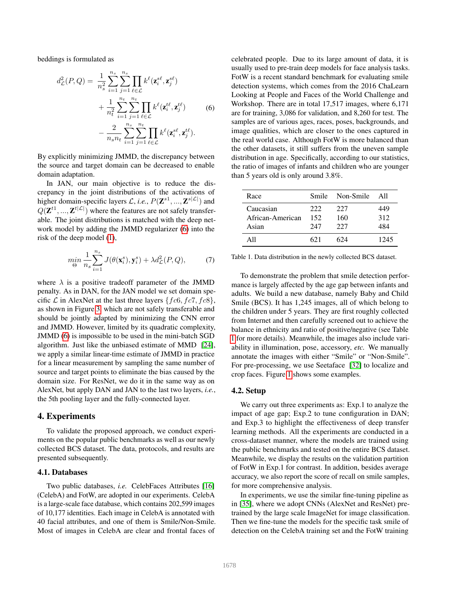beddings is formulated as

<span id="page-5-1"></span>
$$
d_{\mathcal{L}}^{2}(P,Q) = \frac{1}{n_{s}^{2}} \sum_{i=1}^{n_{s}} \sum_{j=1}^{n_{s}} \prod_{\ell \in \mathcal{L}} k^{\ell}(\mathbf{z}_{i}^{s\ell}, \mathbf{z}_{j}^{s\ell})
$$

$$
+ \frac{1}{n_{t}^{2}} \sum_{i=1}^{n_{t}} \sum_{j=1}^{n_{t}} \prod_{\ell \in \mathcal{L}} k^{\ell}(\mathbf{z}_{i}^{t\ell}, \mathbf{z}_{j}^{t\ell})
$$
(6)
$$
- \frac{2}{n_{s}n_{t}} \sum_{i=1}^{n_{s}} \sum_{j=1}^{n_{t}} \prod_{\ell \in \mathcal{L}} k^{\ell}(\mathbf{z}_{i}^{s\ell}, \mathbf{z}_{j}^{t\ell}).
$$

By explicitly minimizing JMMD, the discrepancy between the source and target domain can be decreased to enable domain adaptation.

In JAN, our main objective is to reduce the discrepancy in the joint distributions of the activations of higher domain-specific layers  $\mathcal{L}$ , *i.e.*,  $P(\mathbf{Z}^{s1}, ..., \mathbf{Z}^{s|\mathcal{L}|})$  and  $Q(\mathbf{Z}^{t1},...,\mathbf{Z}^{t|\mathcal{L}|})$  where the features are not safely transferable. The joint distributions is matched with the deep network model by adding the JMMD regularizer [\(6\)](#page-5-1) into the risk of the deep model [\(1\)](#page-2-1),

$$
\min_{\Theta} \frac{1}{n_s} \sum_{i=1}^{n_s} J(\theta(\mathbf{x}_i^s), \mathbf{y}_i^s) + \lambda d_{\mathcal{L}}^2(P, Q), \tag{7}
$$

where  $\lambda$  is a positive tradeoff parameter of the JMMD penalty. As in DAN, for the JAN model we set domain specific  $\mathcal L$  in AlexNet at the last three layers  $\{fc6, fc7, fc8\}$ , as shown in Figure [3,](#page-4-1) which are not safely transferable and should be jointly adapted by minimizing the CNN error and JMMD. However, limited by its quadratic complexity, JMMD [\(6\)](#page-5-1) is impossible to be used in the mini-batch SGD algorithm. Just like the unbiased estimate of MMD [\[24\]](#page-8-15), we apply a similar linear-time estimate of JMMD in practice for a linear measurement by sampling the same number of source and target points to eliminate the bias caused by the domain size. For ResNet, we do it in the same way as on AlexNet, but apply DAN and JAN to the last two layers, *i.e.*, the 5th pooling layer and the fully-connected layer.

## <span id="page-5-0"></span>4. Experiments

To validate the proposed approach, we conduct experiments on the popular public benchmarks as well as our newly collected BCS dataset. The data, protocols, and results are presented subsequently.

#### 4.1. Databases

Two public databases, *i.e.* CelebFaces Attributes [\[16\]](#page-7-17) (CelebA) and FotW, are adopted in our experiments. CelebA is a large-scale face database, which contains 202,599 images of 10,177 identities. Each image in CelebA is annotated with 40 facial attributes, and one of them is Smile/Non-Smile. Most of images in CelebA are clear and frontal faces of celebrated people. Due to its large amount of data, it is usually used to pre-train deep models for face analysis tasks. FotW is a recent standard benchmark for evaluating smile detection systems, which comes from the 2016 ChaLearn Looking at People and Faces of the World Challenge and Workshop. There are in total 17,517 images, where 6,171 are for training, 3,086 for validation, and 8,260 for test. The samples are of various ages, races, poses, backgrounds, and image qualities, which are closer to the ones captured in the real world case. Although FotW is more balanced than the other datasets, it still suffers from the uneven sample distribution in age. Specifically, according to our statistics, the ratio of images of infants and children who are younger than 5 years old is only around 3.8%.

| Race             | Smile | Non-Smile | All  |
|------------------|-------|-----------|------|
| Caucasian        | 222   | 227       | 449  |
| African-American | 152   | 160       | 312  |
| Asian            | 247   | 227       | 484  |
| A11              | 621   | 624       | 1245 |

<span id="page-5-2"></span>Table 1. Data distribution in the newly collected BCS dataset.

To demonstrate the problem that smile detection performance is largely affected by the age gap between infants and adults. We build a new database, namely Baby and Child Smile (BCS). It has 1,245 images, all of which belong to the children under 5 years. They are first roughly collected from Internet and then carefully screened out to achieve the balance in ethnicity and ratio of positive/negative (see Table [1](#page-5-2) for more details). Meanwhile, the images also include variability in illumination, pose, accessory, *etc.* We manually annotate the images with either "Smile" or "Non-Smile". For pre-processing, we use Seetaface [\[32\]](#page-8-16) to localize and crop faces. Figure [1](#page-0-1) shows some examples.

#### 4.2. Setup

We carry out three experiments as: Exp.1 to analyze the impact of age gap; Exp.2 to tune configuration in DAN; and Exp.3 to highlight the effectiveness of deep transfer learning methods. All the experiments are conducted in a cross-dataset manner, where the models are trained using the public benchmarks and tested on the entire BCS dataset. Meanwhile, we display the results on the validation partition of FotW in Exp.1 for contrast. In addition, besides average accuracy, we also report the score of recall on smile samples, for more comprehensive analysis.

In experiments, we use the similar fine-tuning pipeline as in [\[35\]](#page-8-8), where we adopt CNNs (AlexNet and ResNet) pretrained by the large scale ImageNet for image classification. Then we fine-tune the models for the specific task smile of detection on the CelebA training set and the FotW training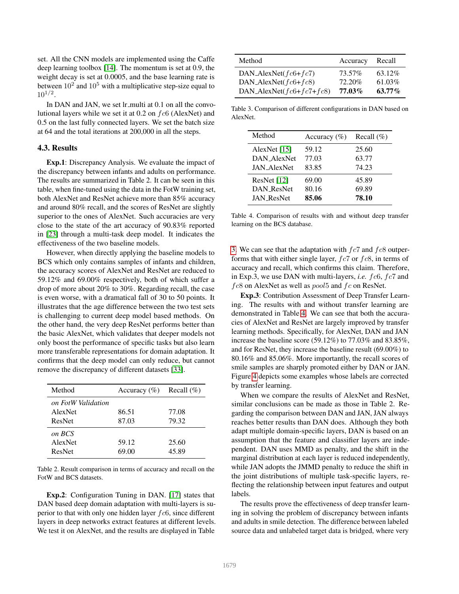set. All the CNN models are implemented using the Caffe deep learning toolbox [\[14\]](#page-7-18). The momentum is set at 0.9, the weight decay is set at 0.0005, and the base learning rate is between  $10^2$  and  $10^5$  with a multiplicative step-size equal to  $10^{1/2}$ .

In DAN and JAN, we set lr\_multi at 0.1 on all the convolutional layers while we set it at  $0.2$  on  $fc6$  (AlexNet) and 0.5 on the last fully connected layers. We set the batch size at 64 and the total iterations at 200,000 in all the steps.

#### 4.3. Results

Exp.1: Discrepancy Analysis. We evaluate the impact of the discrepancy between infants and adults on performance. The results are summarized in Table 2. It can be seen in this table, when fine-tuned using the data in the FotW training set, both AlexNet and ResNet achieve more than 85% accuracy and around 80% recall, and the scores of ResNet are slightly superior to the ones of AlexNet. Such accuracies are very close to the state of the art accuracy of 90.83% reported in [\[23\]](#page-8-9) through a multi-task deep model. It indicates the effectiveness of the two baseline models.

However, when directly applying the baseline models to BCS which only contains samples of infants and children, the accuracy scores of AlexNet and ResNet are reduced to 59.12% and 69.00% respectively, both of which suffer a drop of more about 20% to 30%. Regarding recall, the case is even worse, with a dramatical fall of 30 to 50 points. It illustrates that the age difference between the two test sets is challenging to current deep model based methods. On the other hand, the very deep ResNet performs better than the basic AlexNet, which validates that deeper models not only boost the performance of specific tasks but also learn more transferable representations for domain adaptation. It confirms that the deep model can only reduce, but cannot remove the discrepancy of different datasets [\[33\]](#page-8-6).

| Method                                  | Accuracy $(\% )$ Recall $(\% )$ |                |
|-----------------------------------------|---------------------------------|----------------|
| on FotW Validation<br>AlexNet<br>ResNet | 86.51<br>87.03                  | 77.08<br>79.32 |
| on BCS<br><b>AlexNet</b><br>ResNet      | 59.12<br>69.00                  | 25.60<br>45.89 |

Table 2. Result comparison in terms of accuracy and recall on the FotW and BCS datasets.

Exp.2: Configuration Tuning in DAN. [\[17\]](#page-7-2) states that DAN based deep domain adaptation with multi-layers is superior to that with only one hidden layer  $fc6$ , since different layers in deep networks extract features at different levels. We test it on AlexNet, and the results are displayed in Table

| Method                           | Accuracy | Recall    |
|----------------------------------|----------|-----------|
| DAN_AlexNet( $fc6+fc7$ )         | 73.57%   | 63.12%    |
| DAN_AlexNet( $fc6+fc8$ )         | 72.20%   | 61.03%    |
| DAN_AlexNet( $fc6 + fc7 + fc8$ ) | 77.03%   | $63.77\%$ |

<span id="page-6-0"></span>Table 3. Comparison of different configurations in DAN based on AlexNet.

| Method             | Accuracy $(\% )$ | Recall $(\% )$ |
|--------------------|------------------|----------------|
| AlexNet $[15]$     | 59.12            | 25.60          |
| DAN_AlexNet        | 77.03            | 63.77          |
| <b>JAN AlexNet</b> | 83.85            | 74.23          |
| ResNet [12]        | 69.00            | 45.89          |
| <b>DAN ResNet</b>  | 80.16            | 69.89          |
| <b>JAN ResNet</b>  | 85.06            | 78.10          |

<span id="page-6-1"></span>Table 4. Comparison of results with and without deep transfer learning on the BCS database.

[3.](#page-6-0) We can see that the adaptation with  $fc7$  and  $fc8$  outperforms that with either single layer,  $fc7$  or  $fc8$ , in terms of accuracy and recall, which confirms this claim. Therefore, in Exp.3, we use DAN with multi-layers, *i.e.* fc6, fc7 and  $fc8$  on AlexNet as well as  $pool5$  and  $fc$  on ResNet.

Exp.3: Contribution Assessment of Deep Transfer Learning. The results with and without transfer learning are demonstrated in Table [4.](#page-6-1) We can see that both the accuracies of AlexNet and ResNet are largely improved by transfer learning methods. Specifically, for AlexNet, DAN and JAN increase the baseline score (59.12%) to 77.03% and 83.85%, and for ResNet, they increase the baseline result (69.00%) to 80.16% and 85.06%. More importantly, the recall scores of smile samples are sharply promoted either by DAN or JAN. Figure [4](#page-7-19) depicts some examples whose labels are corrected by transfer learning.

When we compare the results of AlexNet and ResNet, similar conclusions can be made as those in Table 2. Regarding the comparison between DAN and JAN, JAN always reaches better results than DAN does. Although they both adapt multiple domain-specific layers, DAN is based on an assumption that the feature and classifier layers are independent. DAN uses MMD as penalty, and the shift in the marginal distribution at each layer is reduced independently, while JAN adopts the JMMD penalty to reduce the shift in the joint distributions of multiple task-specific layers, reflecting the relationship between input features and output labels.

The results prove the effectiveness of deep transfer learning in solving the problem of discrepancy between infants and adults in smile detection. The difference between labeled source data and unlabeled target data is bridged, where very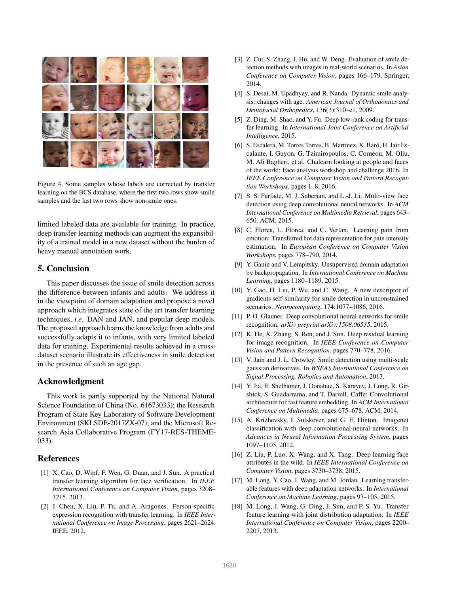

Figure 4. Some samples whose labels are corrected by transfer learning on the BCS database, where the first two rows show smile samples and the last two rows show non-smile ones.

<span id="page-7-19"></span>limited labeled data are available for training. In practice, deep transfer learning methods can augment the expansibility of a trained model in a new dataset without the burden of heavy manual annotation work.

# <span id="page-7-3"></span>5. Conclusion

This paper discusses the issue of smile detection across the difference between infants and adults. We address it in the viewpoint of domain adaptation and propose a novel approach which integrates state of the art transfer learning techniques, *i.e.* DAN and JAN, and popular deep models. The proposed approach learns the knowledge from adults and successfully adapts it to infants, with very limited labeled data for training. Experimental results achieved in a crossdataset scenario illustrate its effectiveness in smile detection in the presence of such an age gap.

## Acknowledgment

This work is partly supported by the National Natural Science Foundation of China (No. 61673033); the Research Program of State Key Laboratory of Software Development Environment (SKLSDE-2017ZX-07); and the Microsoft Research Asia Collaborative Program (FY17-RES-THEME-033).

# References

- <span id="page-7-12"></span>[1] X. Cao, D. Wipf, F. Wen, G. Duan, and J. Sun. A practical transfer learning algorithm for face verification. In *IEEE International Conference on Computer Vision*, pages 3208– 3215, 2013.
- <span id="page-7-13"></span>[2] J. Chen, X. Liu, P. Tu, and A. Aragones. Person-specific expression recognition with transfer learning. In *IEEE International Conference on Image Processing*, pages 2621–2624. IEEE, 2012.
- <span id="page-7-5"></span>[3] Z. Cui, S. Zhang, J. Hu, and W. Deng. Evaluation of smile detection methods with images in real-world scenarios. In *Asian Conference on Computer Vision*, pages 166–179. Springer, 2014.
- <span id="page-7-8"></span>[4] S. Desai, M. Upadhyay, and R. Nanda. Dynamic smile analysis: changes with age. *American Journal of Orthodontics and Dentofacial Orthopedics*, 136(3):310–e1, 2009.
- <span id="page-7-10"></span>[5] Z. Ding, M. Shao, and Y. Fu. Deep low-rank coding for transfer learning. In *International Joint Conference on Artificial Intelligence*, 2015.
- <span id="page-7-7"></span>[6] S. Escalera, M. Torres Torres, B. Martinez, X. Baró, H. Jair Escalante, I. Guyon, G. Tzimiropoulos, C. Corneou, M. Oliu, M. Ali Bagheri, et al. Chalearn looking at people and faces of the world: Face analysis workshop and challenge 2016. In *IEEE Conference on Computer Vision and Pattern Recognition Workshops*, pages 1–8, 2016.
- <span id="page-7-1"></span>[7] S. S. Farfade, M. J. Saberian, and L.-J. Li. Multi-view face detection using deep convolutional neural networks. In *ACM International Conference on Multimedia Retrieval*, pages 643– 650. ACM, 2015.
- <span id="page-7-14"></span>[8] C. Florea, L. Florea, and C. Vertan. Learning pain from emotion: Transferred hot data representation for pain intensity estimation. In *European Conference on Computer Vision Workshops*, pages 778–790, 2014.
- <span id="page-7-11"></span>[9] Y. Ganin and V. Lempitsky. Unsupervised domain adaptation by backpropagation. In *International Conference on Machine Learning*, pages 1180–1189, 2015.
- <span id="page-7-0"></span>[10] Y. Gao, H. Liu, P. Wu, and C. Wang. A new descriptor of gradients self-similarity for smile detection in unconstrained scenarios. *Neurocomputing*, 174:1077–1086, 2016.
- <span id="page-7-6"></span>[11] P.O. Glauner. Deep convolutional neural networks for smile recognition. *arXiv preprint arXiv:1508.06535*, 2015.
- <span id="page-7-16"></span>[12] K. He, X. Zhang, S. Ren, and J. Sun. Deep residual learning for image recognition. In *IEEE Conference on Computer Vision and Pattern Recognition*, pages 770–778, 2016.
- <span id="page-7-4"></span>[13] V. Jain and J. L. Crowley. Smile detection using multi-scale gaussian derivatives. In *WSEAS International Conference on Signal Processing, Robotics and Automation*, 2013.
- <span id="page-7-18"></span>[14] Y. Jia, E. Shelhamer, J. Donahue, S. Karayev, J. Long, R. Girshick, S. Guadarrama, and T. Darrell. Caffe: Convolutional architecture for fast feature embedding. In *ACM International Conference on Multimedia*, pages 675–678. ACM, 2014.
- <span id="page-7-15"></span>[15] A. Krizhevsky, I. Sutskever, and G. E. Hinton. Imagenet classification with deep convolutional neural networks. In *Advances in Neural Information Processing System*, pages 1097–1105, 2012.
- <span id="page-7-17"></span>[16] Z. Liu, P. Luo, X. Wang, and X. Tang. Deep learning face attributes in the wild. In *IEEE International Conference on Computer Vision*, pages 3730–3738, 2015.
- <span id="page-7-2"></span>[17] M. Long, Y. Cao, J. Wang, and M. Jordan. Learning transferable features with deep adaptation networks. In *International Conference on Machine Learning*, pages 97–105, 2015.
- <span id="page-7-9"></span>[18] M. Long, J. Wang, G. Ding, J. Sun, and P. S. Yu. Transfer feature learning with joint distribution adaptation. In *IEEE International Conference on Computer Vision*, pages 2200– 2207, 2013.